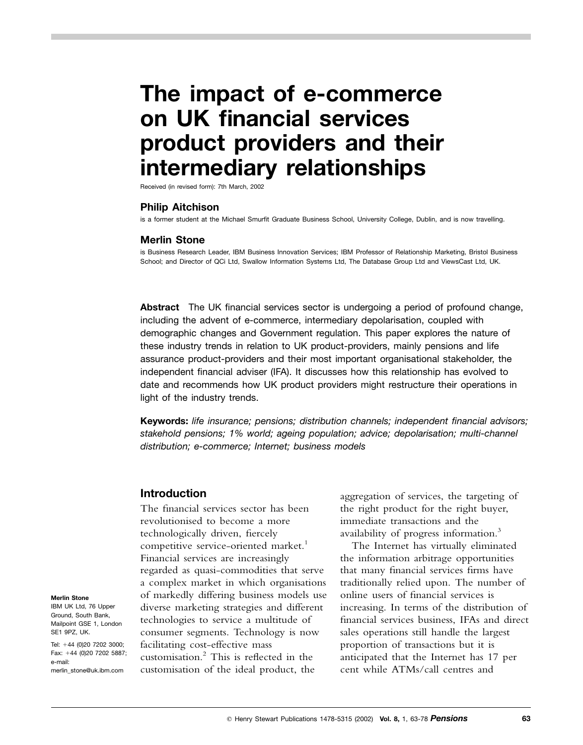# **The impact of e-commerce on UK financial services product providers and their intermediary relationships**

Received (in revised form): 7th March, 2002

#### **Philip Aitchison**

is a former student at the Michael Smurfit Graduate Business School, University College, Dublin, and is now travelling.

#### **Merlin Stone**

is Business Research Leader, IBM Business Innovation Services; IBM Professor of Relationship Marketing, Bristol Business School; and Director of QCi Ltd, Swallow Information Systems Ltd, The Database Group Ltd and ViewsCast Ltd, UK.

**Abstract** The UK financial services sector is undergoing a period of profound change, including the advent of e-commerce, intermediary depolarisation, coupled with demographic changes and Government regulation. This paper explores the nature of these industry trends in relation to UK product-providers, mainly pensions and life assurance product-providers and their most important organisational stakeholder, the independent financial adviser (IFA). It discusses how this relationship has evolved to date and recommends how UK product providers might restructure their operations in light of the industry trends.

**Keywords:** *life insurance; pensions; distribution channels; independent financial advisors; stakehold pensions; 1% world; ageing population; advice; depolarisation; multi-channel distribution; e-commerce; Internet; business models*

## **Introduction**

The financial services sector has been revolutionised to become a more technologically driven, fiercely competitive service-oriented market.<sup>1</sup> Financial services are increasingly regarded as quasi-commodities that serve a complex market in which organisations of markedly differing business models use diverse marketing strategies and different technologies to service a multitude of consumer segments. Technology is now facilitating cost-effective mass customisation.<sup>2</sup> This is reflected in the customisation of the ideal product, the

aggregation of services, the targeting of the right product for the right buyer, immediate transactions and the availability of progress information.<sup>3</sup>

The Internet has virtually eliminated the information arbitrage opportunities that many financial services firms have traditionally relied upon. The number of online users of financial services is increasing. In terms of the distribution of financial services business, IFAs and direct sales operations still handle the largest proportion of transactions but it is anticipated that the Internet has 17 per cent while ATMs/call centres and

## **Merlin Stone**

IBM UK Ltd, 76 Upper Ground, South Bank, Mailpoint GSE 1, London SE1 9PZ, UK.

Tel: 44 (0)20 7202 3000; Fax: 44 (0)20 7202 5887; e-mail: merlin\_stone@uk.ibm.com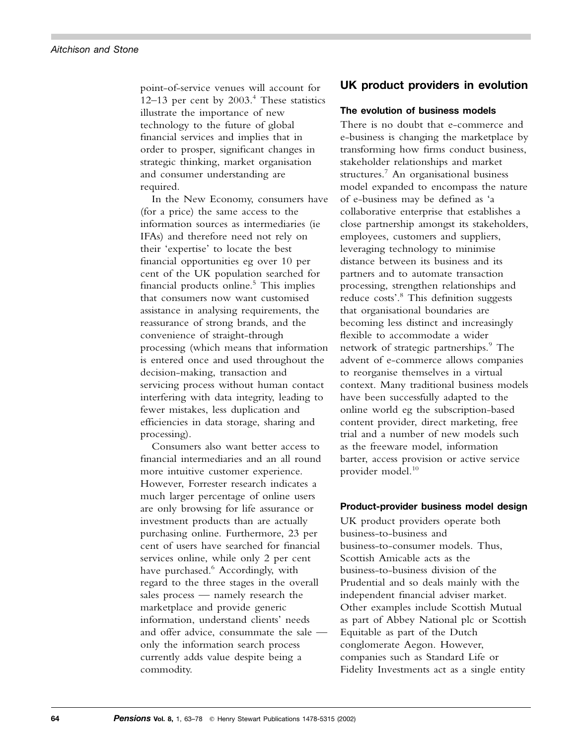point-of-service venues will account for 12–13 per cent by  $2003<sup>4</sup>$ . These statistics illustrate the importance of new technology to the future of global financial services and implies that in order to prosper, significant changes in strategic thinking, market organisation and consumer understanding are required.

In the New Economy, consumers have (for a price) the same access to the information sources as intermediaries (ie IFAs) and therefore need not rely on their 'expertise' to locate the best financial opportunities eg over 10 per cent of the UK population searched for financial products online.<sup>5</sup> This implies that consumers now want customised assistance in analysing requirements, the reassurance of strong brands, and the convenience of straight-through processing (which means that information is entered once and used throughout the decision-making, transaction and servicing process without human contact interfering with data integrity, leading to fewer mistakes, less duplication and efficiencies in data storage, sharing and processing).

Consumers also want better access to financial intermediaries and an all round more intuitive customer experience. However, Forrester research indicates a much larger percentage of online users are only browsing for life assurance or investment products than are actually purchasing online. Furthermore, 23 per cent of users have searched for financial services online, while only 2 per cent have purchased.<sup>6</sup> Accordingly, with regard to the three stages in the overall sales process — namely research the marketplace and provide generic information, understand clients' needs and offer advice, consummate the sale only the information search process currently adds value despite being a commodity.

## **UK product providers in evolution**

#### **The evolution of business models**

There is no doubt that e-commerce and e-business is changing the marketplace by transforming how firms conduct business, stakeholder relationships and market structures.<sup>7</sup> An organisational business model expanded to encompass the nature of e-business may be defined as 'a collaborative enterprise that establishes a close partnership amongst its stakeholders, employees, customers and suppliers, leveraging technology to minimise distance between its business and its partners and to automate transaction processing, strengthen relationships and reduce costs'. <sup>8</sup> This definition suggests that organisational boundaries are becoming less distinct and increasingly flexible to accommodate a wider network of strategic partnerships.<sup>9</sup> The advent of e-commerce allows companies to reorganise themselves in a virtual context. Many traditional business models have been successfully adapted to the online world eg the subscription-based content provider, direct marketing, free trial and a number of new models such as the freeware model, information barter, access provision or active service provider model. $10$ 

#### **Product-provider business model design**

UK product providers operate both business-to-business and business-to-consumer models. Thus, Scottish Amicable acts as the business-to-business division of the Prudential and so deals mainly with the independent financial adviser market. Other examples include Scottish Mutual as part of Abbey National plc or Scottish Equitable as part of the Dutch conglomerate Aegon. However, companies such as Standard Life or Fidelity Investments act as a single entity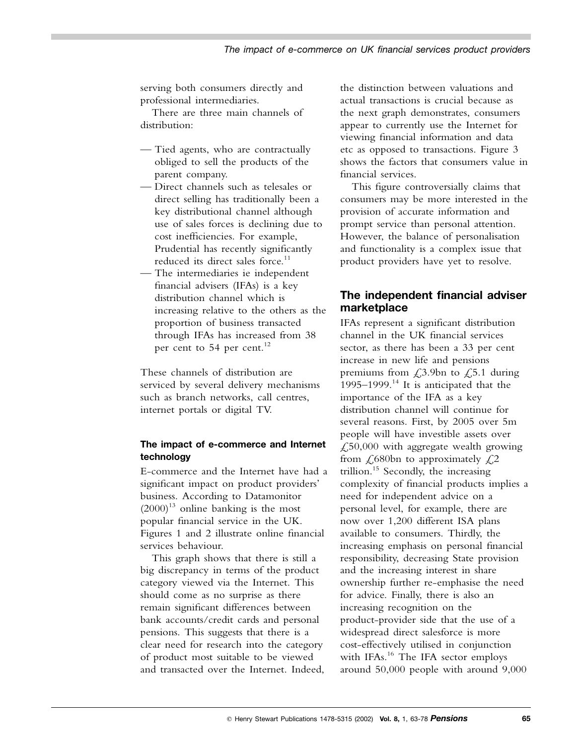serving both consumers directly and professional intermediaries.

There are three main channels of distribution:

- Tied agents, who are contractually obliged to sell the products of the parent company.
- Direct channels such as telesales or direct selling has traditionally been a key distributional channel although use of sales forces is declining due to cost inefficiencies. For example, Prudential has recently significantly reduced its direct sales force.<sup>11</sup>
- The intermediaries ie independent financial advisers (IFAs) is a key distribution channel which is increasing relative to the others as the proportion of business transacted through IFAs has increased from 38 per cent to 54 per cent.<sup>12</sup>

These channels of distribution are serviced by several delivery mechanisms such as branch networks, call centres, internet portals or digital TV.

## **The impact of e-commerce and Internet technology**

E-commerce and the Internet have had a significant impact on product providers' business. According to Datamonitor  $(2000)^{13}$  online banking is the most popular financial service in the UK. Figures 1 and 2 illustrate online financial services behaviour.

This graph shows that there is still a big discrepancy in terms of the product category viewed via the Internet. This should come as no surprise as there remain significant differences between bank accounts/credit cards and personal pensions. This suggests that there is a clear need for research into the category of product most suitable to be viewed and transacted over the Internet. Indeed, the distinction between valuations and actual transactions is crucial because as the next graph demonstrates, consumers appear to currently use the Internet for viewing financial information and data etc as opposed to transactions. Figure 3 shows the factors that consumers value in financial services.

This figure controversially claims that consumers may be more interested in the provision of accurate information and prompt service than personal attention. However, the balance of personalisation and functionality is a complex issue that product providers have yet to resolve.

# **The independent financial adviser marketplace**

IFAs represent a significant distribution channel in the UK financial services sector, as there has been a 33 per cent increase in new life and pensions premiums from  $\angle$ 3.9bn to  $\angle$ 5.1 during 1995–1999. $^{14}$  It is anticipated that the importance of the IFA as a key distribution channel will continue for several reasons. First, by 2005 over 5m people will have investible assets over  $\text{\textsterling}50,000$  with aggregate wealth growing from £,680bn to approximately  $\angle$ 2 trillion. $15$  Secondly, the increasing complexity of financial products implies a need for independent advice on a personal level, for example, there are now over 1,200 different ISA plans available to consumers. Thirdly, the increasing emphasis on personal financial responsibility, decreasing State provision and the increasing interest in share ownership further re-emphasise the need for advice. Finally, there is also an increasing recognition on the product-provider side that the use of a widespread direct salesforce is more cost-effectively utilised in conjunction with IFAs.<sup>16</sup> The IFA sector employs around 50,000 people with around 9,000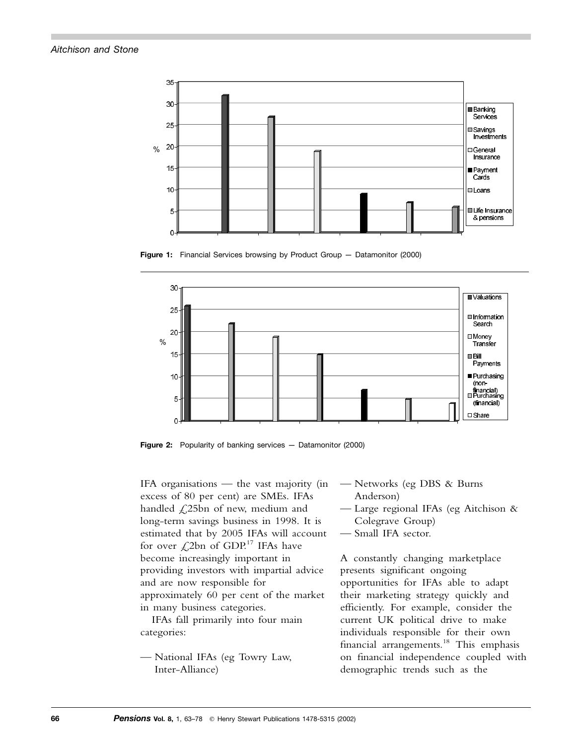

**Figure 1:** Financial Services browsing by Product Group — Datamonitor (2000)



**Figure 2:** Popularity of banking services — Datamonitor (2000)

IFA organisations — the vast majority (in excess of 80 per cent) are SMEs. IFAs handled  $\angle$ 25bn of new, medium and long-term savings business in 1998. It is estimated that by 2005 IFAs will account for over  $\mathcal{L}2bn$  of GDP.<sup>17</sup> IFAs have become increasingly important in providing investors with impartial advice and are now responsible for approximately 60 per cent of the market in many business categories.

IFAs fall primarily into four main categories:

— National IFAs (eg Towry Law, Inter-Alliance)

- Networks (eg DBS & Burns Anderson)
- Large regional IFAs (eg Aitchison & Colegrave Group)
- Small IFA sector.

A constantly changing marketplace presents significant ongoing opportunities for IFAs able to adapt their marketing strategy quickly and efficiently. For example, consider the current UK political drive to make individuals responsible for their own financial arrangements.<sup>18</sup> This emphasis on financial independence coupled with demographic trends such as the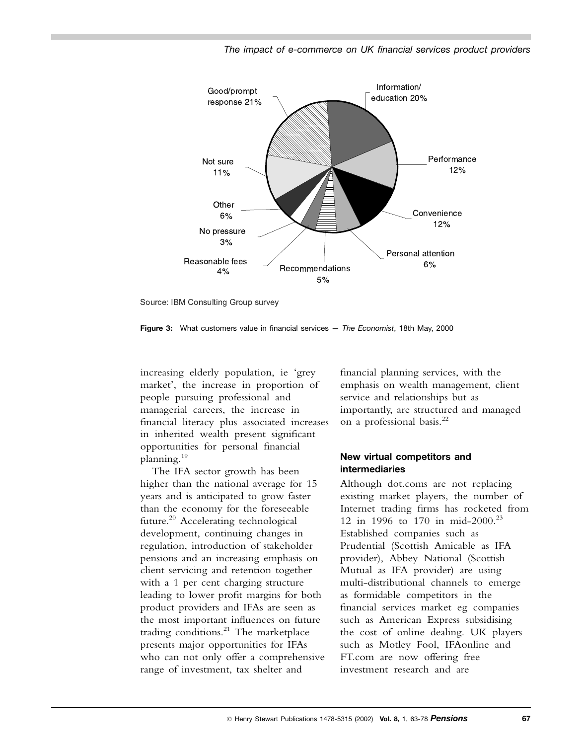

Source: IBM Consulting Group survey

**Figure 3:** What customers value in financial services — *The Economist*, 18th May, 2000

increasing elderly population, ie 'grey market', the increase in proportion of people pursuing professional and managerial careers, the increase in financial literacy plus associated increases in inherited wealth present significant opportunities for personal financial planning.19

The IFA sector growth has been higher than the national average for 15 years and is anticipated to grow faster than the economy for the foreseeable future.<sup>20</sup> Accelerating technological development, continuing changes in regulation, introduction of stakeholder pensions and an increasing emphasis on client servicing and retention together with a 1 per cent charging structure leading to lower profit margins for both product providers and IFAs are seen as the most important influences on future trading conditions. $21$  The marketplace presents major opportunities for IFAs who can not only offer a comprehensive range of investment, tax shelter and

financial planning services, with the emphasis on wealth management, client service and relationships but as importantly, are structured and managed on a professional basis.<sup>22</sup>

## **New virtual competitors and intermediaries**

Although dot.coms are not replacing existing market players, the number of Internet trading firms has rocketed from 12 in 1996 to 170 in mid-2000.<sup>23</sup> Established companies such as Prudential (Scottish Amicable as IFA provider), Abbey National (Scottish Mutual as IFA provider) are using multi-distributional channels to emerge as formidable competitors in the financial services market eg companies such as American Express subsidising the cost of online dealing. UK players such as Motley Fool, IFAonline and FT.com are now offering free investment research and are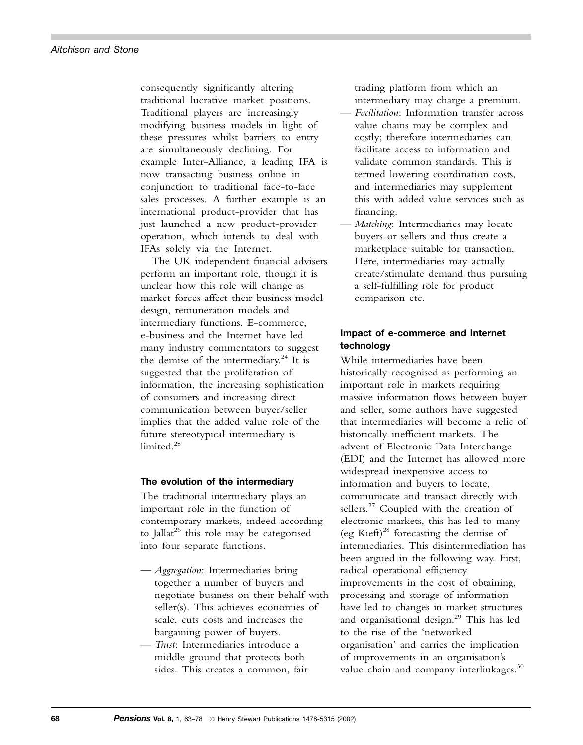consequently significantly altering traditional lucrative market positions. Traditional players are increasingly modifying business models in light of these pressures whilst barriers to entry are simultaneously declining. For example Inter-Alliance, a leading IFA is now transacting business online in conjunction to traditional face-to-face sales processes. A further example is an international product-provider that has just launched a new product-provider operation, which intends to deal with IFAs solely via the Internet.

The UK independent financial advisers perform an important role, though it is unclear how this role will change as market forces affect their business model design, remuneration models and intermediary functions. E-commerce, e-business and the Internet have led many industry commentators to suggest the demise of the intermediary.<sup>24</sup> It is suggested that the proliferation of information, the increasing sophistication of consumers and increasing direct communication between buyer/seller implies that the added value role of the future stereotypical intermediary is limited.<sup>25</sup>

## **The evolution of the intermediary**

The traditional intermediary plays an important role in the function of contemporary markets, indeed according to Jallat<sup>26</sup> this role may be categorised into four separate functions.

- *Aggregation*: Intermediaries bring together a number of buyers and negotiate business on their behalf with seller(s). This achieves economies of scale, cuts costs and increases the bargaining power of buyers.
- *Trust*: Intermediaries introduce a middle ground that protects both sides. This creates a common, fair

trading platform from which an intermediary may charge a premium.

- *Facilitation*: Information transfer across value chains may be complex and costly; therefore intermediaries can facilitate access to information and validate common standards. This is termed lowering coordination costs, and intermediaries may supplement this with added value services such as financing.
- *Matching*: Intermediaries may locate buyers or sellers and thus create a marketplace suitable for transaction. Here, intermediaries may actually create/stimulate demand thus pursuing a self-fulfilling role for product comparison etc.

## **Impact of e-commerce and Internet technology**

While intermediaries have been historically recognised as performing an important role in markets requiring massive information flows between buyer and seller, some authors have suggested that intermediaries will become a relic of historically inefficient markets. The advent of Electronic Data Interchange (EDI) and the Internet has allowed more widespread inexpensive access to information and buyers to locate, communicate and transact directly with sellers.<sup>27</sup> Coupled with the creation of electronic markets, this has led to many (eg Kieft)<sup>28</sup> forecasting the demise of intermediaries. This disintermediation has been argued in the following way. First, radical operational efficiency improvements in the cost of obtaining, processing and storage of information have led to changes in market structures and organisational design.<sup>29</sup> This has led to the rise of the 'networked organisation' and carries the implication of improvements in an organisation's value chain and company interlinkages.<sup>30</sup>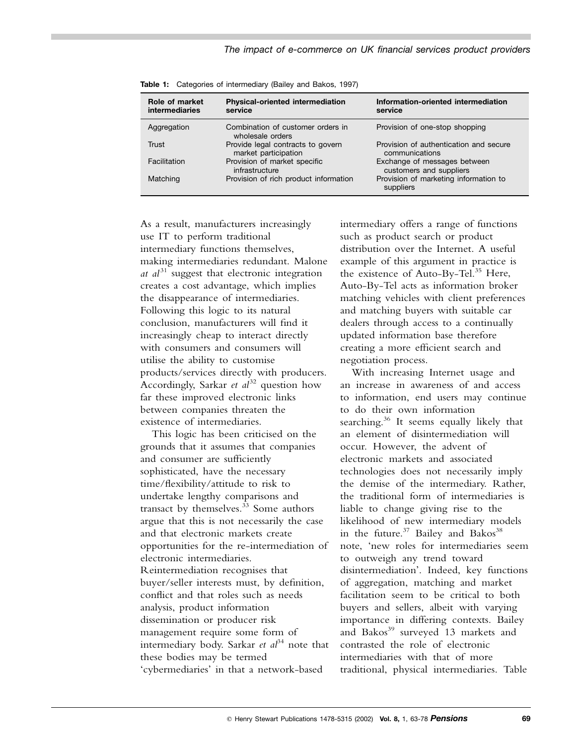| Role of market<br>intermediaries | Physical-oriented intermediation<br>service               | Information-oriented intermediation<br>service           |  |  |
|----------------------------------|-----------------------------------------------------------|----------------------------------------------------------|--|--|
| Aggregation                      | Combination of customer orders in<br>wholesale orders     | Provision of one-stop shopping                           |  |  |
| Trust                            | Provide legal contracts to govern<br>market participation | Provision of authentication and secure<br>communications |  |  |
| Facilitation                     | Provision of market specific<br>infrastructure            | Exchange of messages between<br>customers and suppliers  |  |  |
| Matching                         | Provision of rich product information                     | Provision of marketing information to<br>suppliers       |  |  |

**Table 1:** Categories of intermediary (Bailey and Bakos, 1997)

As a result, manufacturers increasingly use IT to perform traditional intermediary functions themselves, making intermediaries redundant. Malone *at al*<sup>31</sup> suggest that electronic integration creates a cost advantage, which implies the disappearance of intermediaries. Following this logic to its natural conclusion, manufacturers will find it increasingly cheap to interact directly with consumers and consumers will utilise the ability to customise products/services directly with producers. Accordingly, Sarkar *et al*<sup>32</sup> question how far these improved electronic links between companies threaten the existence of intermediaries.

This logic has been criticised on the grounds that it assumes that companies and consumer are sufficiently sophisticated, have the necessary time/flexibility/attitude to risk to undertake lengthy comparisons and transact by themselves.<sup>33</sup> Some authors argue that this is not necessarily the case and that electronic markets create opportunities for the re-intermediation of electronic intermediaries. Reintermediation recognises that buyer/seller interests must, by definition, conflict and that roles such as needs analysis, product information dissemination or producer risk management require some form of intermediary body. Sarkar *et al*<sup>34</sup> note that these bodies may be termed 'cybermediaries' in that a network-based

intermediary offers a range of functions such as product search or product distribution over the Internet. A useful example of this argument in practice is the existence of Auto-By-Tel.<sup>35</sup> Here, Auto-By-Tel acts as information broker matching vehicles with client preferences and matching buyers with suitable car dealers through access to a continually updated information base therefore creating a more efficient search and negotiation process.

With increasing Internet usage and an increase in awareness of and access to information, end users may continue to do their own information searching.<sup>36</sup> It seems equally likely that an element of disintermediation will occur. However, the advent of electronic markets and associated technologies does not necessarily imply the demise of the intermediary. Rather, the traditional form of intermediaries is liable to change giving rise to the likelihood of new intermediary models in the future. $37$  Bailey and Bakos<sup>38</sup> note, 'new roles for intermediaries seem to outweigh any trend toward disintermediation'. Indeed, key functions of aggregation, matching and market facilitation seem to be critical to both buyers and sellers, albeit with varying importance in differing contexts. Bailey and Bakos<sup>39</sup> surveyed 13 markets and contrasted the role of electronic intermediaries with that of more traditional, physical intermediaries. Table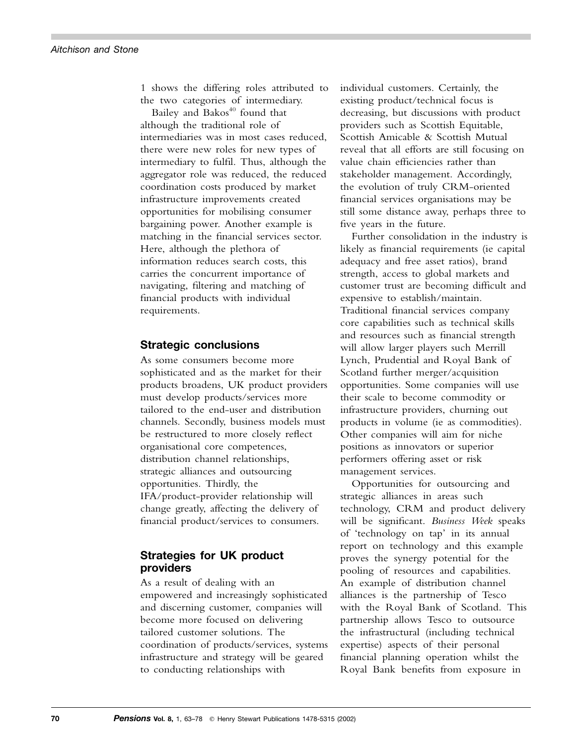1 shows the differing roles attributed to the two categories of intermediary.

Bailey and Bakos $40$  found that although the traditional role of intermediaries was in most cases reduced, there were new roles for new types of intermediary to fulfil. Thus, although the aggregator role was reduced, the reduced coordination costs produced by market infrastructure improvements created opportunities for mobilising consumer bargaining power. Another example is matching in the financial services sector. Here, although the plethora of information reduces search costs, this carries the concurrent importance of navigating, filtering and matching of financial products with individual requirements.

## **Strategic conclusions**

As some consumers become more sophisticated and as the market for their products broadens, UK product providers must develop products/services more tailored to the end-user and distribution channels. Secondly, business models must be restructured to more closely reflect organisational core competences, distribution channel relationships, strategic alliances and outsourcing opportunities. Thirdly, the IFA/product-provider relationship will change greatly, affecting the delivery of financial product/services to consumers.

# **Strategies for UK product providers**

As a result of dealing with an empowered and increasingly sophisticated and discerning customer, companies will become more focused on delivering tailored customer solutions. The coordination of products/services, systems infrastructure and strategy will be geared to conducting relationships with

individual customers. Certainly, the existing product/technical focus is decreasing, but discussions with product providers such as Scottish Equitable, Scottish Amicable & Scottish Mutual reveal that all efforts are still focusing on value chain efficiencies rather than stakeholder management. Accordingly, the evolution of truly CRM-oriented financial services organisations may be still some distance away, perhaps three to five years in the future.

Further consolidation in the industry is likely as financial requirements (ie capital adequacy and free asset ratios), brand strength, access to global markets and customer trust are becoming difficult and expensive to establish/maintain. Traditional financial services company core capabilities such as technical skills and resources such as financial strength will allow larger players such Merrill Lynch, Prudential and Royal Bank of Scotland further merger/acquisition opportunities. Some companies will use their scale to become commodity or infrastructure providers, churning out products in volume (ie as commodities). Other companies will aim for niche positions as innovators or superior performers offering asset or risk management services.

Opportunities for outsourcing and strategic alliances in areas such technology, CRM and product delivery will be significant. *Business Week* speaks of 'technology on tap' in its annual report on technology and this example proves the synergy potential for the pooling of resources and capabilities. An example of distribution channel alliances is the partnership of Tesco with the Royal Bank of Scotland. This partnership allows Tesco to outsource the infrastructural (including technical expertise) aspects of their personal financial planning operation whilst the Royal Bank benefits from exposure in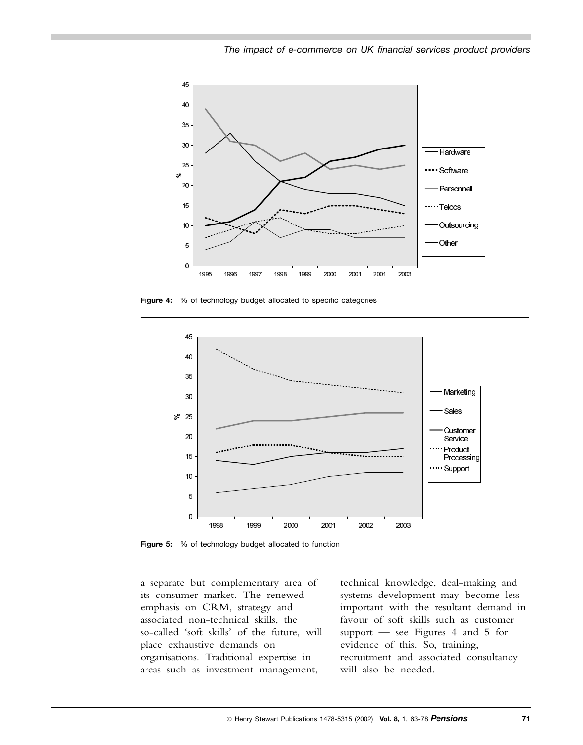

**Figure 4:** % of technology budget allocated to specific categories



**Figure 5:** % of technology budget allocated to function

a separate but complementary area of its consumer market. The renewed emphasis on CRM, strategy and associated non-technical skills, the so-called 'soft skills' of the future, will place exhaustive demands on organisations. Traditional expertise in areas such as investment management,

technical knowledge, deal-making and systems development may become less important with the resultant demand in favour of soft skills such as customer support — see Figures 4 and 5 for evidence of this. So, training, recruitment and associated consultancy will also be needed.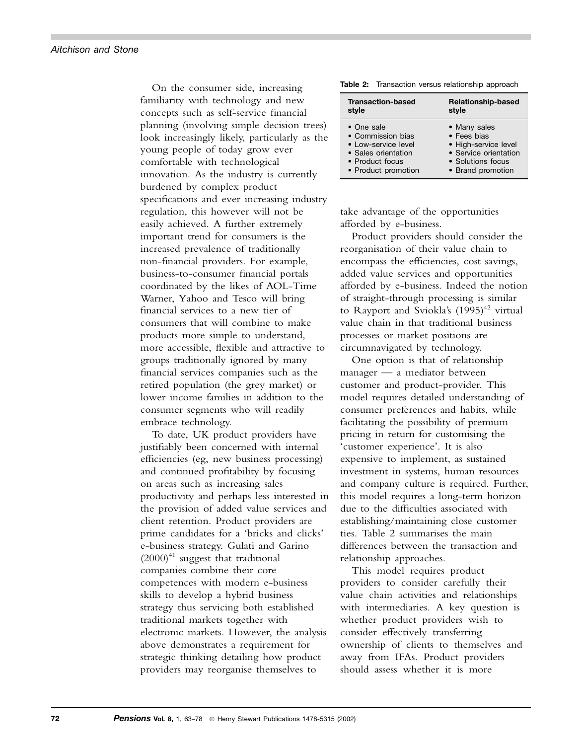On the consumer side, increasing familiarity with technology and new concepts such as self-service financial planning (involving simple decision trees) look increasingly likely, particularly as the young people of today grow ever comfortable with technological innovation. As the industry is currently burdened by complex product specifications and ever increasing industry regulation, this however will not be easily achieved. A further extremely important trend for consumers is the increased prevalence of traditionally non-financial providers. For example, business-to-consumer financial portals coordinated by the likes of AOL-Time Warner, Yahoo and Tesco will bring financial services to a new tier of consumers that will combine to make products more simple to understand, more accessible, flexible and attractive to groups traditionally ignored by many financial services companies such as the retired population (the grey market) or lower income families in addition to the consumer segments who will readily embrace technology.

To date, UK product providers have justifiably been concerned with internal efficiencies (eg, new business processing) and continued profitability by focusing on areas such as increasing sales productivity and perhaps less interested in the provision of added value services and client retention. Product providers are prime candidates for a 'bricks and clicks' e-business strategy. Gulati and Garino  $(2000)^{41}$  suggest that traditional companies combine their core competences with modern e-business skills to develop a hybrid business strategy thus servicing both established traditional markets together with electronic markets. However, the analysis above demonstrates a requirement for strategic thinking detailing how product providers may reorganise themselves to

| Table 2: Transaction versus relationship approach |
|---------------------------------------------------|
|---------------------------------------------------|

| <b>Transaction-based</b> | <b>Relationship-based</b> |  |  |  |
|--------------------------|---------------------------|--|--|--|
| style                    | style                     |  |  |  |
| $\bullet$ One sale       | • Many sales              |  |  |  |
| • Commission bias        | • Fees bias               |  |  |  |
| • Low-service level      | • High-service level      |  |  |  |
| • Sales orientation      | • Service orientation     |  |  |  |
| • Product focus          | • Solutions focus         |  |  |  |
| • Product promotion      | • Brand promotion         |  |  |  |

take advantage of the opportunities afforded by e-business.

Product providers should consider the reorganisation of their value chain to encompass the efficiencies, cost savings, added value services and opportunities afforded by e-business. Indeed the notion of straight-through processing is similar to Rayport and Sviokla's  $(1995)^{42}$  virtual value chain in that traditional business processes or market positions are circumnavigated by technology.

One option is that of relationship manager — a mediator between customer and product-provider. This model requires detailed understanding of consumer preferences and habits, while facilitating the possibility of premium pricing in return for customising the 'customer experience'. It is also expensive to implement, as sustained investment in systems, human resources and company culture is required. Further, this model requires a long-term horizon due to the difficulties associated with establishing/maintaining close customer ties. Table 2 summarises the main differences between the transaction and relationship approaches.

This model requires product providers to consider carefully their value chain activities and relationships with intermediaries. A key question is whether product providers wish to consider effectively transferring ownership of clients to themselves and away from IFAs. Product providers should assess whether it is more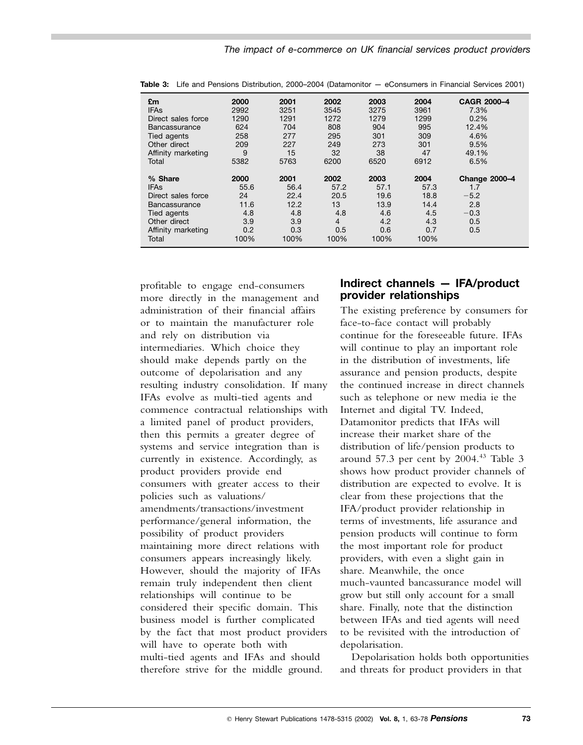| £m                 | 2000 | 2001 | 2002 | 2003 | 2004 | <b>CAGR 2000-4</b>   |
|--------------------|------|------|------|------|------|----------------------|
| <b>IFAs</b>        | 2992 | 3251 | 3545 | 3275 | 3961 | 7.3%                 |
| Direct sales force | 1290 | 1291 | 1272 | 1279 | 1299 | 0.2%                 |
| Bancassurance      | 624  | 704  | 808  | 904  | 995  | 12.4%                |
| Tied agents        | 258  | 277  | 295  | 301  | 309  | 4.6%                 |
| Other direct       | 209  | 227  | 249  | 273  | 301  | 9.5%                 |
| Affinity marketing | 9    | 15   | 32   | 38   | 47   | 49.1%                |
| Total              | 5382 | 5763 | 6200 | 6520 | 6912 | 6.5%                 |
| % Share            | 2000 | 2001 | 2002 | 2003 | 2004 | <b>Change 2000-4</b> |
| <b>IFAs</b>        | 55.6 | 56.4 | 57.2 | 57.1 | 57.3 | 1.7                  |
| Direct sales force | 24   | 22.4 | 20.5 | 19.6 | 18.8 | $-5.2$               |
| Bancassurance      | 11.6 | 12.2 | 13   | 13.9 | 14.4 | 2.8                  |
| Tied agents        | 4.8  | 4.8  | 4.8  | 4.6  | 4.5  | $-0.3$               |
| Other direct       | 3.9  | 3.9  | 4    | 4.2  | 4.3  | 0.5                  |
| Affinity marketing | 0.2  | 0.3  | 0.5  | 0.6  | 0.7  | 0.5                  |
| Total              | 100% | 100% | 100% | 100% | 100% |                      |

**Table 3:** Life and Pensions Distribution, 2000–2004 (Datamonitor — eConsumers in Financial Services 2001)

profitable to engage end-consumers more directly in the management and administration of their financial affairs or to maintain the manufacturer role and rely on distribution via intermediaries. Which choice they should make depends partly on the outcome of depolarisation and any resulting industry consolidation. If many IFAs evolve as multi-tied agents and commence contractual relationships with a limited panel of product providers, then this permits a greater degree of systems and service integration than is currently in existence. Accordingly, as product providers provide end consumers with greater access to their policies such as valuations/ amendments/transactions/investment performance/general information, the possibility of product providers maintaining more direct relations with consumers appears increasingly likely. However, should the majority of IFAs remain truly independent then client relationships will continue to be considered their specific domain. This business model is further complicated by the fact that most product providers will have to operate both with multi-tied agents and IFAs and should therefore strive for the middle ground.

## **Indirect channels — IFA/product provider relationships**

The existing preference by consumers for face-to-face contact will probably continue for the foreseeable future. IFAs will continue to play an important role in the distribution of investments, life assurance and pension products, despite the continued increase in direct channels such as telephone or new media ie the Internet and digital TV. Indeed, Datamonitor predicts that IFAs will increase their market share of the distribution of life/pension products to around 57.3 per cent by  $2004.<sup>43</sup>$  Table 3 shows how product provider channels of distribution are expected to evolve. It is clear from these projections that the IFA/product provider relationship in terms of investments, life assurance and pension products will continue to form the most important role for product providers, with even a slight gain in share. Meanwhile, the once much-vaunted bancassurance model will grow but still only account for a small share. Finally, note that the distinction between IFAs and tied agents will need to be revisited with the introduction of depolarisation.

Depolarisation holds both opportunities and threats for product providers in that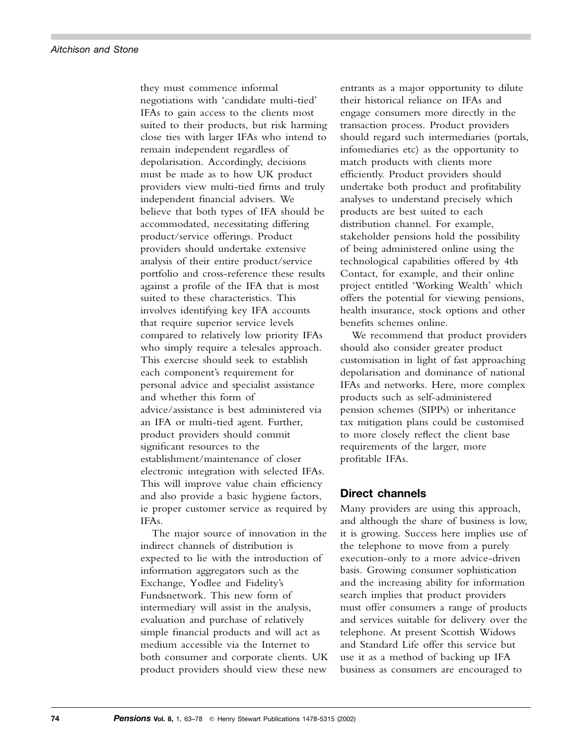they must commence informal negotiations with 'candidate multi-tied' IFAs to gain access to the clients most suited to their products, but risk harming close ties with larger IFAs who intend to remain independent regardless of depolarisation. Accordingly, decisions must be made as to how UK product providers view multi-tied firms and truly independent financial advisers. We believe that both types of IFA should be accommodated, necessitating differing product/service offerings. Product providers should undertake extensive analysis of their entire product/service portfolio and cross-reference these results against a profile of the IFA that is most suited to these characteristics. This involves identifying key IFA accounts that require superior service levels compared to relatively low priority IFAs who simply require a telesales approach. This exercise should seek to establish each component's requirement for personal advice and specialist assistance and whether this form of advice/assistance is best administered via an IFA or multi-tied agent. Further, product providers should commit significant resources to the establishment/maintenance of closer electronic integration with selected IFAs. This will improve value chain efficiency and also provide a basic hygiene factors, ie proper customer service as required by IFAs.

The major source of innovation in the indirect channels of distribution is expected to lie with the introduction of information aggregators such as the Exchange, Yodlee and Fidelity's Fundsnetwork. This new form of intermediary will assist in the analysis, evaluation and purchase of relatively simple financial products and will act as medium accessible via the Internet to both consumer and corporate clients. UK product providers should view these new

entrants as a major opportunity to dilute their historical reliance on IFAs and engage consumers more directly in the transaction process. Product providers should regard such intermediaries (portals, infomediaries etc) as the opportunity to match products with clients more efficiently. Product providers should undertake both product and profitability analyses to understand precisely which products are best suited to each distribution channel. For example, stakeholder pensions hold the possibility of being administered online using the technological capabilities offered by 4th Contact, for example, and their online project entitled 'Working Wealth' which offers the potential for viewing pensions, health insurance, stock options and other benefits schemes online.

We recommend that product providers should also consider greater product customisation in light of fast approaching depolarisation and dominance of national IFAs and networks. Here, more complex products such as self-administered pension schemes (SIPPs) or inheritance tax mitigation plans could be customised to more closely reflect the client base requirements of the larger, more profitable IFAs.

# **Direct channels**

Many providers are using this approach, and although the share of business is low, it is growing. Success here implies use of the telephone to move from a purely execution-only to a more advice-driven basis. Growing consumer sophistication and the increasing ability for information search implies that product providers must offer consumers a range of products and services suitable for delivery over the telephone. At present Scottish Widows and Standard Life offer this service but use it as a method of backing up IFA business as consumers are encouraged to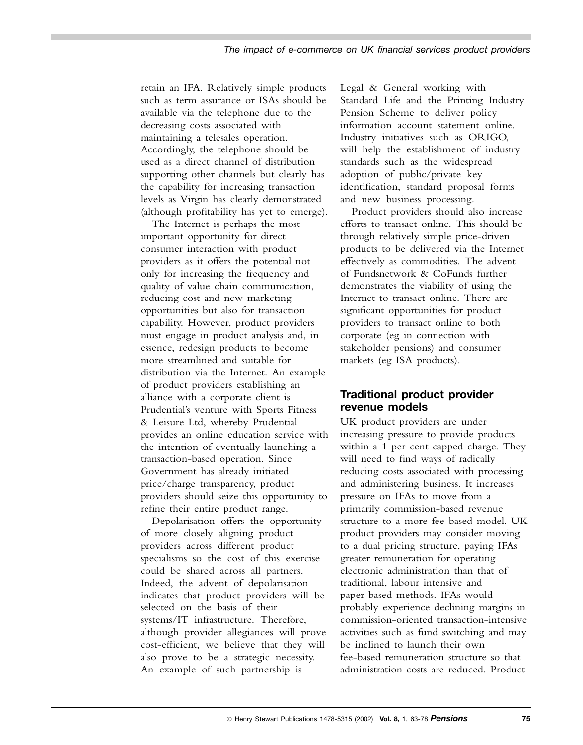retain an IFA. Relatively simple products such as term assurance or ISAs should be available via the telephone due to the decreasing costs associated with maintaining a telesales operation. Accordingly, the telephone should be used as a direct channel of distribution supporting other channels but clearly has the capability for increasing transaction levels as Virgin has clearly demonstrated (although profitability has yet to emerge).

The Internet is perhaps the most important opportunity for direct consumer interaction with product providers as it offers the potential not only for increasing the frequency and quality of value chain communication, reducing cost and new marketing opportunities but also for transaction capability. However, product providers must engage in product analysis and, in essence, redesign products to become more streamlined and suitable for distribution via the Internet. An example of product providers establishing an alliance with a corporate client is Prudential's venture with Sports Fitness & Leisure Ltd, whereby Prudential provides an online education service with the intention of eventually launching a transaction-based operation. Since Government has already initiated price/charge transparency, product providers should seize this opportunity to refine their entire product range.

Depolarisation offers the opportunity of more closely aligning product providers across different product specialisms so the cost of this exercise could be shared across all partners. Indeed, the advent of depolarisation indicates that product providers will be selected on the basis of their systems/IT infrastructure. Therefore, although provider allegiances will prove cost-efficient, we believe that they will also prove to be a strategic necessity. An example of such partnership is

Legal & General working with Standard Life and the Printing Industry Pension Scheme to deliver policy information account statement online. Industry initiatives such as ORIGO, will help the establishment of industry standards such as the widespread adoption of public/private key identification, standard proposal forms and new business processing.

Product providers should also increase efforts to transact online. This should be through relatively simple price-driven products to be delivered via the Internet effectively as commodities. The advent of Fundsnetwork & CoFunds further demonstrates the viability of using the Internet to transact online. There are significant opportunities for product providers to transact online to both corporate (eg in connection with stakeholder pensions) and consumer markets (eg ISA products).

# **Traditional product provider revenue models**

UK product providers are under increasing pressure to provide products within a 1 per cent capped charge. They will need to find ways of radically reducing costs associated with processing and administering business. It increases pressure on IFAs to move from a primarily commission-based revenue structure to a more fee-based model. UK product providers may consider moving to a dual pricing structure, paying IFAs greater remuneration for operating electronic administration than that of traditional, labour intensive and paper-based methods. IFAs would probably experience declining margins in commission-oriented transaction-intensive activities such as fund switching and may be inclined to launch their own fee-based remuneration structure so that administration costs are reduced. Product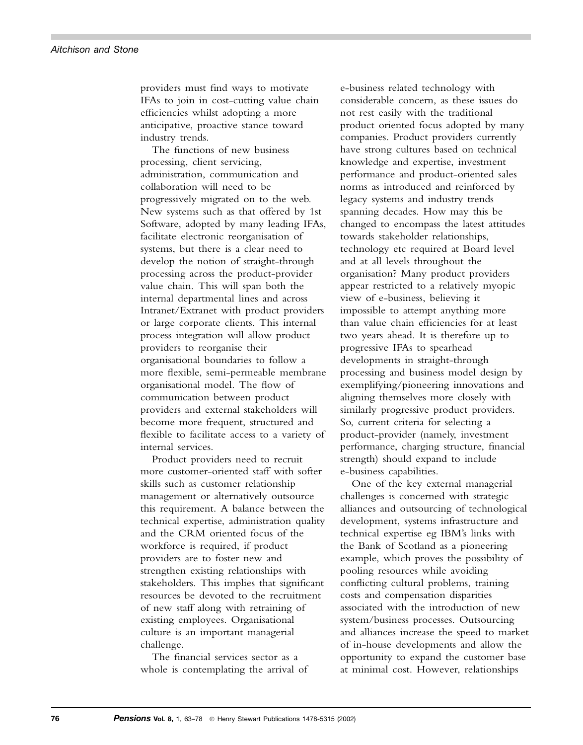providers must find ways to motivate IFAs to join in cost-cutting value chain efficiencies whilst adopting a more anticipative, proactive stance toward industry trends.

The functions of new business processing, client servicing, administration, communication and collaboration will need to be progressively migrated on to the web. New systems such as that offered by 1st Software, adopted by many leading IFAs, facilitate electronic reorganisation of systems, but there is a clear need to develop the notion of straight-through processing across the product-provider value chain. This will span both the internal departmental lines and across Intranet/Extranet with product providers or large corporate clients. This internal process integration will allow product providers to reorganise their organisational boundaries to follow a more flexible, semi-permeable membrane organisational model. The flow of communication between product providers and external stakeholders will become more frequent, structured and flexible to facilitate access to a variety of internal services.

Product providers need to recruit more customer-oriented staff with softer skills such as customer relationship management or alternatively outsource this requirement. A balance between the technical expertise, administration quality and the CRM oriented focus of the workforce is required, if product providers are to foster new and strengthen existing relationships with stakeholders. This implies that significant resources be devoted to the recruitment of new staff along with retraining of existing employees. Organisational culture is an important managerial challenge.

The financial services sector as a whole is contemplating the arrival of e-business related technology with considerable concern, as these issues do not rest easily with the traditional product oriented focus adopted by many companies. Product providers currently have strong cultures based on technical knowledge and expertise, investment performance and product-oriented sales norms as introduced and reinforced by legacy systems and industry trends spanning decades. How may this be changed to encompass the latest attitudes towards stakeholder relationships, technology etc required at Board level and at all levels throughout the organisation? Many product providers appear restricted to a relatively myopic view of e-business, believing it impossible to attempt anything more than value chain efficiencies for at least two years ahead. It is therefore up to progressive IFAs to spearhead developments in straight-through processing and business model design by exemplifying/pioneering innovations and aligning themselves more closely with similarly progressive product providers. So, current criteria for selecting a product-provider (namely, investment performance, charging structure, financial strength) should expand to include e-business capabilities.

One of the key external managerial challenges is concerned with strategic alliances and outsourcing of technological development, systems infrastructure and technical expertise eg IBM's links with the Bank of Scotland as a pioneering example, which proves the possibility of pooling resources while avoiding conflicting cultural problems, training costs and compensation disparities associated with the introduction of new system/business processes. Outsourcing and alliances increase the speed to market of in-house developments and allow the opportunity to expand the customer base at minimal cost. However, relationships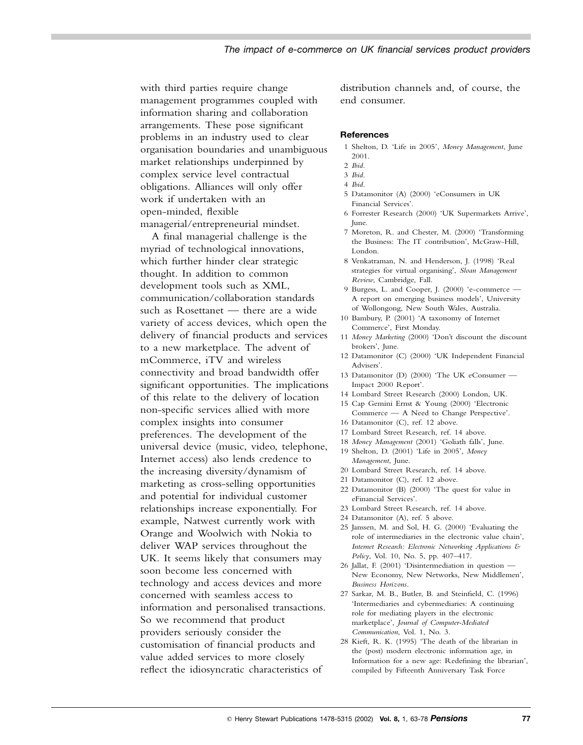with third parties require change management programmes coupled with information sharing and collaboration arrangements. These pose significant problems in an industry used to clear organisation boundaries and unambiguous market relationships underpinned by complex service level contractual obligations. Alliances will only offer work if undertaken with an open-minded, flexible managerial/entrepreneurial mindset.

A final managerial challenge is the myriad of technological innovations, which further hinder clear strategic thought. In addition to common development tools such as XML, communication/collaboration standards such as Rosettanet — there are a wide variety of access devices, which open the delivery of financial products and services to a new marketplace. The advent of mCommerce, iTV and wireless connectivity and broad bandwidth offer significant opportunities. The implications of this relate to the delivery of location non-specific services allied with more complex insights into consumer preferences. The development of the universal device (music, video, telephone, Internet access) also lends credence to the increasing diversity/dynamism of marketing as cross-selling opportunities and potential for individual customer relationships increase exponentially. For example, Natwest currently work with Orange and Woolwich with Nokia to deliver WAP services throughout the UK. It seems likely that consumers may soon become less concerned with technology and access devices and more concerned with seamless access to information and personalised transactions. So we recommend that product providers seriously consider the customisation of financial products and value added services to more closely reflect the idiosyncratic characteristics of

distribution channels and, of course, the end consumer.

#### **References**

- 1 Shelton, D. 'Life in 2005', *Money Management*, June 2001.
- 2 *Ibid*.
- 3 *Ibid*.
- 4 *Ibid*.
- 5 Datamonitor (A) (2000) 'eConsumers in UK Financial Services'.
- 6 Forrester Research (2000) 'UK Supermarkets Arrive', June.
- 7 Moreton, R. and Chester, M. (2000) 'Transforming the Business: The IT contribution', McGraw-Hill, London.
- 8 Venkatraman, N. and Henderson, J. (1998) 'Real strategies for virtual organising', *Sloan Management Review*, Cambridge, Fall.
- 9 Burgess, L. and Cooper, J. (2000) 'e-commerce A report on emerging business models', University of Wollongong, New South Wales, Australia.
- 10 Bambury, P. (2001) 'A taxonomy of Internet Commerce', First Monday.
- 11 *Money Marketing* (2000) 'Don't discount the discount brokers', June.
- 12 Datamonitor (C) (2000) 'UK Independent Financial Advisers'.
- 13 Datamonitor (D) (2000) 'The UK eConsumer Impact 2000 Report'.
- 14 Lombard Street Research (2000) London, UK.
- 15 Cap Gemini Ernst & Young (2000) 'Electronic Commerce — A Need to Change Perspective'.
- 16 Datamonitor (C), ref. 12 above.
- 17 Lombard Street Research, ref. 14 above.
- 18 *Money Management* (2001) 'Goliath falls', June.
- 19 Shelton, D. (2001) 'Life in 2005', *Money Management*, June.
- 20 Lombard Street Research, ref. 14 above.
- 21 Datamonitor (C), ref. 12 above.
- 22 Datamonitor (B) (2000) 'The quest for value in eFinancial Services'.
- 23 Lombard Street Research, ref. 14 above.
- 24 Datamonitor (A), ref. 5 above.
- 25 Janssen, M. and Sol, H. G. (2000) 'Evaluating the role of intermediaries in the electronic value chain', *Internet Research: Electronic Networking Applications & Policy*, Vol. 10, No. 5, pp. 407–417.
- 26 Jallat, F. (2001) 'Disintermediation in question New Economy, New Networks, New Middlemen', *Business Horizons*.
- 27 Sarkar, M. B., Butler, B. and Steinfield, C. (1996) 'Intermediaries and cybermediaries: A continuing role for mediating players in the electronic marketplace', *Journal of Computer-Mediated Communication*, Vol. 1, No. 3.
- 28 Kieft, R. K. (1995) 'The death of the librarian in the (post) modern electronic information age, in Information for a new age: Redefining the librarian', compiled by Fifteenth Anniversary Task Force